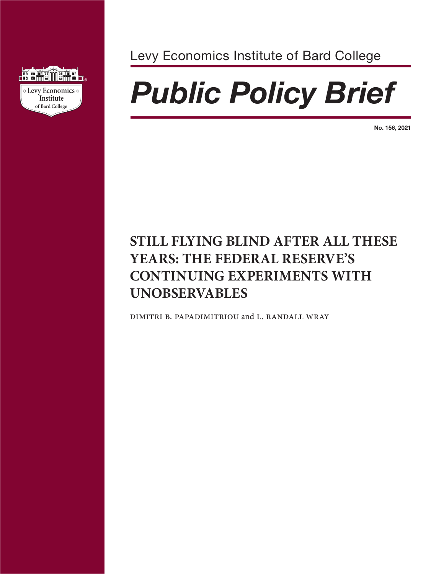

Levy Economics Institute of Bard College

# **of Economics** *Public Policy Brief*

**No. 156, 2021**

# **STILL FLYING BLIND AFTER ALL THESE YEARS: THE FEDERAL RESERVE'S CONTINUING EXPERIMENTS WITH UNOBSERVABLES**

dimitri b. papadimitriou and l. randall wray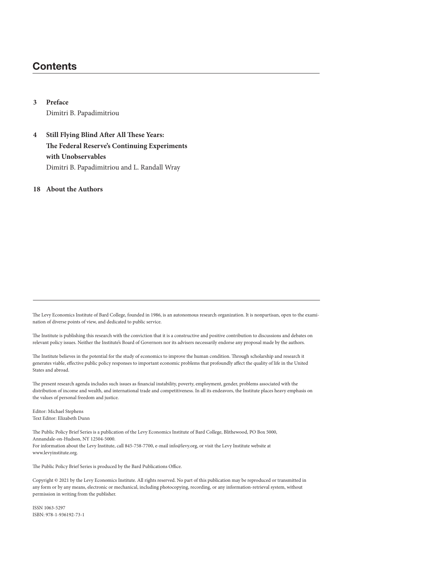# **Contents**

**3 Preface** Dimitri B. Papadimitriou

**4 Still Flying Blind After All These Years: The Federal Reserve's Continuing Experiments with Unobservables** Dimitri B. Papadimitriou and L. Randall Wray

**18 About the Authors**

The Levy Economics Institute of Bard College, founded in 1986, is an autonomous research organization. It is nonpartisan, open to the examination of diverse points of view, and dedicated to public service.

The Institute is publishing this research with the conviction that it is a constructive and positive contribution to discussions and debates on relevant policy issues. Neither the Institute's Board of Governors nor its advisers necessarily endorse any proposal made by the authors.

The Institute believes in the potential for the study of economics to improve the human condition. Through scholarship and research it generates viable, effective public policy responses to important economic problems that profoundly affect the quality of life in the United States and abroad.

The present research agenda includes such issues as financial instability, poverty, employment, gender, problems associated with the distribution of income and wealth, and international trade and competitiveness. In all its endeavors, the Institute places heavy emphasis on the values of personal freedom and justice.

Editor: Michael Stephens Text Editor: Elizabeth Dunn

The Public Policy Brief Series is a publication of the Levy Economics Institute of Bard College, Blithewood, PO Box 5000, Annandale-on-Hudson, NY 12504-5000. For information about the Levy Institute, call 845-758-7700, e-mail info@levy.org, or visit the Levy Institute website at www.levyinstitute.org.

The Public Policy Brief Series is produced by the Bard Publications Office.

Copyright © 2021 by the Levy Economics Institute. All rights reserved. No part of this publication may be reproduced or transmitted in any form or by any means, electronic or mechanical, including photocopying, recording, or any information-retrieval system, without permission in writing from the publisher.

ISSN 1063-5297 ISBN: 978-1-936192-73-1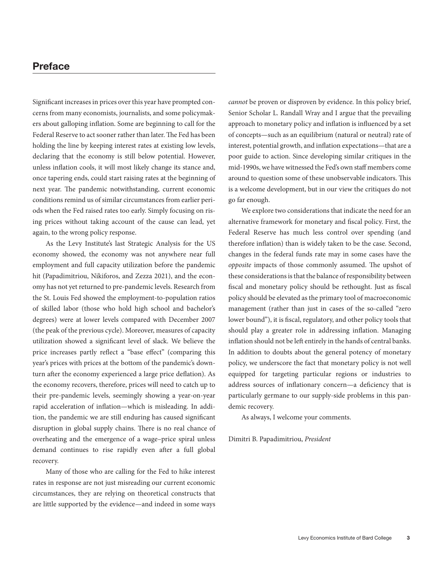# **Preface**

Significant increases in prices over this year have prompted concerns from many economists, journalists, and some policymakers about galloping inflation. Some are beginning to call for the Federal Reserve to act sooner rather than later. The Fed has been holding the line by keeping interest rates at existing low levels, declaring that the economy is still below potential. However, unless inflation cools, it will most likely change its stance and, once tapering ends, could start raising rates at the beginning of next year. The pandemic notwithstanding, current economic conditions remind us of similar circumstances from earlier periods when the Fed raised rates too early. Simply focusing on rising prices without taking account of the cause can lead, yet again, to the wrong policy response.

As the Levy Institute's last Strategic Analysis for the US economy showed, the economy was not anywhere near full employment and full capacity utilization before the pandemic hit (Papadimitriou, Nikiforos, and Zezza 2021), and the economy has not yet returned to pre-pandemic levels. Research from the St. Louis Fed showed the employment-to-population ratios of skilled labor (those who hold high school and bachelor's degrees) were at lower levels compared with December 2007 (the peak of the previous cycle). Moreover, measures of capacity utilization showed a significant level of slack. We believe the price increases partly reflect a "base effect" (comparing this year's prices with prices at the bottom of the pandemic's downturn after the economy experienced a large price deflation). As the economy recovers, therefore, prices will need to catch up to their pre-pandemic levels, seemingly showing a year-on-year rapid acceleration of inflation—which is misleading. In addition, the pandemic we are still enduring has caused significant disruption in global supply chains. There is no real chance of overheating and the emergence of a wage–price spiral unless demand continues to rise rapidly even after a full global recovery.

Many of those who are calling for the Fed to hike interest rates in response are not just misreading our current economic circumstances, they are relying on theoretical constructs that are little supported by the evidence—and indeed in some ways *cannot* be proven or disproven by evidence. In this policy brief, Senior Scholar L. Randall Wray and I argue that the prevailing approach to monetary policy and inflation is influenced by a set of concepts—such as an equilibrium (natural or neutral) rate of interest, potential growth, and inflation expectations—that are a poor guide to action. Since developing similar critiques in the mid-1990s, we have witnessed the Fed's own staff members come around to question some of these unobservable indicators. This is a welcome development, but in our view the critiques do not go far enough.

We explore two considerations that indicate the need for an alternative framework for monetary and fiscal policy. First, the Federal Reserve has much less control over spending (and therefore inflation) than is widely taken to be the case. Second, changes in the federal funds rate may in some cases have the *opposite* impacts of those commonly assumed. The upshot of these considerations is that the balance of responsibility between fiscal and monetary policy should be rethought. Just as fiscal policy should be elevated as the primary tool of macroeconomic management (rather than just in cases of the so-called "zero lower bound"), it is fiscal, regulatory, and other policy tools that should play a greater role in addressing inflation. Managing inflation should not be left entirely in the hands of central banks. In addition to doubts about the general potency of monetary policy, we underscore the fact that monetary policy is not well equipped for targeting particular regions or industries to address sources of inflationary concern—a deficiency that is particularly germane to our supply-side problems in this pandemic recovery.

As always, I welcome your comments.

Dimitri B. Papadimitriou, *President*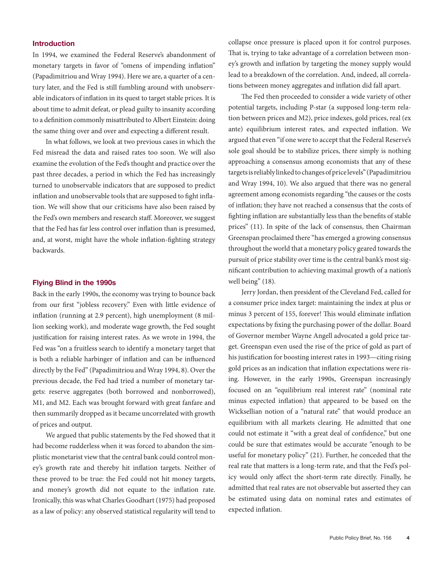#### **Introduction**

In 1994, we examined the Federal Reserve's abandonment of monetary targets in favor of "omens of impending inflation" (Papadimitriou and Wray 1994). Here we are, a quarter of a century later, and the Fed is still fumbling around with unobservable indicators of inflation in its quest to target stable prices. It is about time to admit defeat, or plead guilty to insanity according to a definition commonly misattributed to Albert Einstein: doing the same thing over and over and expecting a different result.

In what follows, we look at two previous cases in which the Fed misread the data and raised rates too soon. We will also examine the evolution of the Fed's thought and practice over the past three decades, a period in which the Fed has increasingly turned to unobservable indicators that are supposed to predict inflation and unobservable tools that are supposed to fight inflation. We will show that our criticisms have also been raised by the Fed's own members and research staff. Moreover, we suggest that the Fed has far less control over inflation than is presumed, and, at worst, might have the whole inflation-fighting strategy backwards.

#### **Flying Blind in the 1990s**

Back in the early 1990s, the economy was trying to bounce back from our first "jobless recovery." Even with little evidence of inflation (running at 2.9 percent), high unemployment (8 million seeking work), and moderate wage growth, the Fed sought justification for raising interest rates. As we wrote in 1994, the Fed was "on a fruitless search to identify a monetary target that is both a reliable harbinger of inflation and can be influenced directly by the Fed" (Papadimitriou and Wray 1994, 8). Over the previous decade, the Fed had tried a number of monetary targets: reserve aggregates (both borrowed and nonborrowed), M1, and M2. Each was brought forward with great fanfare and then summarily dropped as it became uncorrelated with growth of prices and output.

We argued that public statements by the Fed showed that it had become rudderless when it was forced to abandon the simplistic monetarist view that the central bank could control money's growth rate and thereby hit inflation targets. Neither of these proved to be true: the Fed could not hit money targets, and money's growth did not equate to the inflation rate. Ironically, this was what Charles Goodhart (1975) had proposed as a law of policy: any observed statistical regularity will tend to

collapse once pressure is placed upon it for control purposes. That is, trying to take advantage of a correlation between money's growth and inflation by targeting the money supply would lead to a breakdown of the correlation. And, indeed, all correlations between money aggregates and inflation did fall apart.

The Fed then proceeded to consider a wide variety of other potential targets, including P-star (a supposed long-term relation between prices and M2), price indexes, gold prices, real (ex ante) equilibrium interest rates, and expected inflation. We argued that even "if one were to accept that the Federal Reserve's sole goal should be to stabilize prices, there simply is nothing approaching a consensus among economists that any of these targets is reliably linked to changes of price levels" (Papadimitriou and Wray 1994, 10). We also argued that there was no general agreement among economists regarding "the causes or the costs of inflation; they have not reached a consensus that the costs of fighting inflation are substantially less than the benefits of stable prices" (11). In spite of the lack of consensus, then Chairman Greenspan proclaimed there "has emerged a growing consensus throughout the world that a monetary policy geared towards the pursuit of price stability over time is the central bank's most significant contribution to achieving maximal growth of a nation's well being" (18).

Jerry Jordan, then president of the Cleveland Fed, called for a consumer price index target: maintaining the index at plus or minus 3 percent of 155, forever! This would eliminate inflation expectations by fixing the purchasing power of the dollar. Board of Governor member Wayne Angell advocated a gold price target. Greenspan even used the rise of the price of gold as part of his justification for boosting interest rates in 1993—citing rising gold prices as an indication that inflation expectations were rising. However, in the early 1990s, Greenspan increasingly focused on an "equilibrium real interest rate" (nominal rate minus expected inflation) that appeared to be based on the Wicksellian notion of a "natural rate" that would produce an equilibrium with all markets clearing. He admitted that one could not estimate it "with a great deal of confidence," but one could be sure that estimates would be accurate "enough to be useful for monetary policy" (21). Further, he conceded that the real rate that matters is a long-term rate, and that the Fed's policy would only affect the short-term rate directly. Finally, he admitted that real rates are not observable but asserted they can be estimated using data on nominal rates and estimates of expected inflation.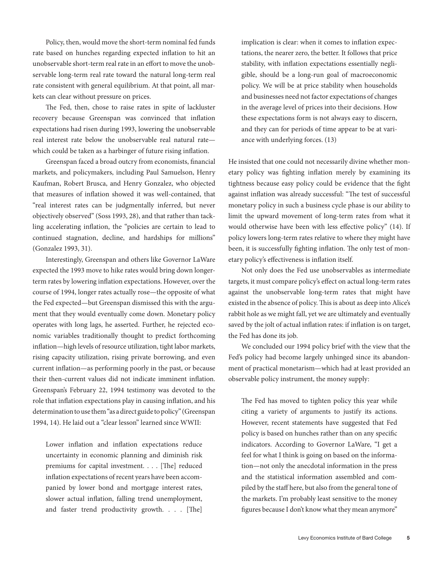Policy, then, would move the short-term nominal fed funds rate based on hunches regarding expected inflation to hit an unobservable short-term real rate in an effort to move the unobservable long-term real rate toward the natural long-term real rate consistent with general equilibrium. At that point, all markets can clear without pressure on prices.

The Fed, then, chose to raise rates in spite of lackluster recovery because Greenspan was convinced that inflation expectations had risen during 1993, lowering the unobservable real interest rate below the unobservable real natural rate which could be taken as a harbinger of future rising inflation.

Greenspan faced a broad outcry from economists, financial markets, and policymakers, including Paul Samuelson, Henry Kaufman, Robert Brusca, and Henry Gonzalez, who objected that measures of inflation showed it was well-contained, that "real interest rates can be judgmentally inferred, but never objectively observed" (Soss 1993, 28), and that rather than tackling accelerating inflation, the "policies are certain to lead to continued stagnation, decline, and hardships for millions" (Gonzalez 1993, 31).

Interestingly, Greenspan and others like Governor LaWare expected the 1993 move to hike rates would bring down longerterm rates by lowering inflation expectations. However, over the course of 1994, longer rates actually rose—the opposite of what the Fed expected—but Greenspan dismissed this with the argument that they would eventually come down. Monetary policy operates with long lags, he asserted. Further, he rejected economic variables traditionally thought to predict forthcoming inflation—high levels of resource utilization, tight labor markets, rising capacity utilization, rising private borrowing, and even current inflation—as performing poorly in the past, or because their then-current values did not indicate imminent inflation. Greenspan's February 22, 1994 testimony was devoted to the role that inflation expectations play in causing inflation, and his determination to use them "as a direct guide to policy" (Greenspan 1994, 14). He laid out a "clear lesson" learned since WWII:

Lower inflation and inflation expectations reduce uncertainty in economic planning and diminish risk premiums for capital investment. . . . [The] reduced inflation expectations of recent years have been accompanied by lower bond and mortgage interest rates, slower actual inflation, falling trend unemployment, and faster trend productivity growth. . . . [The]

implication is clear: when it comes to inflation expectations, the nearer zero, the better. It follows that price stability, with inflation expectations essentially negligible, should be a long-run goal of macroeconomic policy. We will be at price stability when households and businesses need not factor expectations of changes in the average level of prices into their decisions. How these expectations form is not always easy to discern, and they can for periods of time appear to be at variance with underlying forces. (13)

He insisted that one could not necessarily divine whether monetary policy was fighting inflation merely by examining its tightness because easy policy could be evidence that the fight against inflation was already successful: "The test of successful monetary policy in such a business cycle phase is our ability to limit the upward movement of long-term rates from what it would otherwise have been with less effective policy" (14). If policy lowers long-term rates relative to where they might have been, it is successfully fighting inflation. The only test of monetary policy's effectiveness is inflation itself.

Not only does the Fed use unobservables as intermediate targets, it must compare policy's effect on actual long-term rates against the unobservable long-term rates that might have existed in the absence of policy. This is about as deep into Alice's rabbit hole as we might fall, yet we are ultimately and eventually saved by the jolt of actual inflation rates: if inflation is on target, the Fed has done its job.

We concluded our 1994 policy brief with the view that the Fed's policy had become largely unhinged since its abandonment of practical monetarism—which had at least provided an observable policy instrument, the money supply:

The Fed has moved to tighten policy this year while citing a variety of arguments to justify its actions. However, recent statements have suggested that Fed policy is based on hunches rather than on any specific indicators. According to Governor LaWare, "I get a feel for what I think is going on based on the information—not only the anecdotal information in the press and the statistical information assembled and compiled by the staff here, but also from the general tone of the markets. I'm probably least sensitive to the money figures because I don't know what they mean anymore"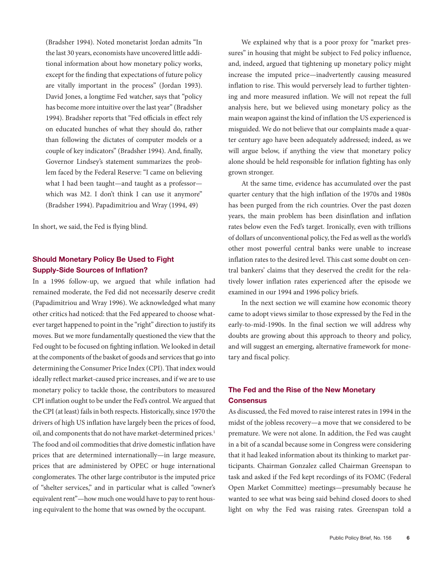(Bradsher 1994). Noted monetarist Jordan admits "In the last 30 years, economists have uncovered little additional information about how monetary policy works, except for the finding that expectations of future policy are vitally important in the process" (Jordan 1993). David Jones, a longtime Fed watcher, says that "policy has become more intuitive over the last year" (Bradsher 1994). Bradsher reports that "Fed officials in effect rely on educated hunches of what they should do, rather than following the dictates of computer models or a couple of key indicators" (Bradsher 1994). And, finally, Governor Lindsey's statement summarizes the problem faced by the Federal Reserve: "I came on believing what I had been taught—and taught as a professor which was M2. I don't think I can use it anymore" (Bradsher 1994). Papadimitriou and Wray (1994, 49)

In short, we said, the Fed is flying blind.

### **Should Monetary Policy Be Used to Fight Supply-Side Sources of Inflation?**

In a 1996 follow-up, we argued that while inflation had remained moderate, the Fed did not necessarily deserve credit (Papadimitriou and Wray 1996). We acknowledged what many other critics had noticed: that the Fed appeared to choose whatever target happened to point in the "right" direction to justify its moves. But we more fundamentally questioned the view that the Fed ought to be focused on fighting inflation. We looked in detail at the components of the basket of goods and services that go into determining the Consumer Price Index (CPI). That index would ideally reflect market-caused price increases, and if we are to use monetary policy to tackle those, the contributors to measured CPI inflation ought to be under the Fed's control. We argued that the CPI (at least) fails in both respects. Historically, since 1970 the drivers of high US inflation have largely been the prices of food, oil, and components that do not have market-determined prices.<sup>1</sup> The food and oil commodities that drive domestic inflation have prices that are determined internationally—in large measure, prices that are administered by OPEC or huge international conglomerates. The other large contributor is the imputed price of "shelter services," and in particular what is called "owner's equivalent rent"—how much one would have to pay to rent housing equivalent to the home that was owned by the occupant.

We explained why that is a poor proxy for "market pressures" in housing that might be subject to Fed policy influence, and, indeed, argued that tightening up monetary policy might increase the imputed price—inadvertently causing measured inflation to rise. This would perversely lead to further tightening and more measured inflation. We will not repeat the full analysis here, but we believed using monetary policy as the main weapon against the kind of inflation the US experienced is misguided. We do not believe that our complaints made a quarter century ago have been adequately addressed; indeed, as we will argue below, if anything the view that monetary policy alone should be held responsible for inflation fighting has only grown stronger.

At the same time, evidence has accumulated over the past quarter century that the high inflation of the 1970s and 1980s has been purged from the rich countries. Over the past dozen years, the main problem has been disinflation and inflation rates below even the Fed's target. Ironically, even with trillions of dollars of unconventional policy, the Fed as well as the world's other most powerful central banks were unable to increase inflation rates to the desired level. This cast some doubt on central bankers' claims that they deserved the credit for the relatively lower inflation rates experienced after the episode we examined in our 1994 and 1996 policy briefs.

In the next section we will examine how economic theory came to adopt views similar to those expressed by the Fed in the early-to-mid-1990s. In the final section we will address why doubts are growing about this approach to theory and policy, and will suggest an emerging, alternative framework for monetary and fiscal policy.

## **The Fed and the Rise of the New Monetary Consensus**

As discussed, the Fed moved to raise interest rates in 1994 in the midst of the jobless recovery—a move that we considered to be premature. We were not alone. In addition, the Fed was caught in a bit of a scandal because some in Congress were considering that it had leaked information about its thinking to market participants. Chairman Gonzalez called Chairman Greenspan to task and asked if the Fed kept recordings of its FOMC (Federal Open Market Committee) meetings—presumably because he wanted to see what was being said behind closed doors to shed light on why the Fed was raising rates. Greenspan told a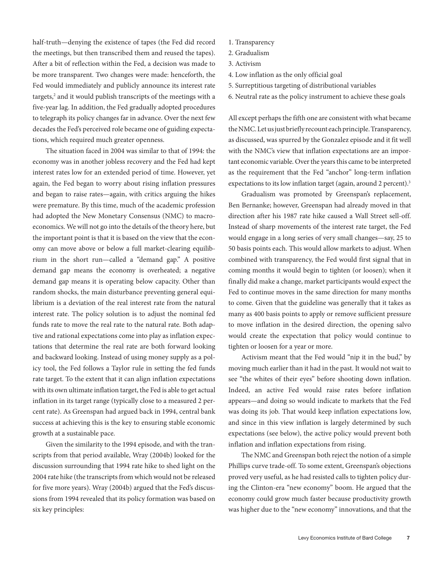half-truth—denying the existence of tapes (the Fed did record the meetings, but then transcribed them and reused the tapes). After a bit of reflection within the Fed, a decision was made to be more transparent. Two changes were made: henceforth, the Fed would immediately and publicly announce its interest rate targets,<sup>2</sup> and it would publish transcripts of the meetings with a five-year lag. In addition, the Fed gradually adopted procedures to telegraph its policy changes far in advance. Over the next few decades the Fed's perceived role became one of guiding expectations, which required much greater openness.

The situation faced in 2004 was similar to that of 1994: the economy was in another jobless recovery and the Fed had kept interest rates low for an extended period of time. However, yet again, the Fed began to worry about rising inflation pressures and began to raise rates—again, with critics arguing the hikes were premature. By this time, much of the academic profession had adopted the New Monetary Consensus (NMC) to macroeconomics. We will not go into the details of the theory here, but the important point is that it is based on the view that the economy can move above or below a full market-clearing equilibrium in the short run—called a "demand gap." A positive demand gap means the economy is overheated; a negative demand gap means it is operating below capacity. Other than random shocks, the main disturbance preventing general equilibrium is a deviation of the real interest rate from the natural interest rate. The policy solution is to adjust the nominal fed funds rate to move the real rate to the natural rate. Both adaptive and rational expectations come into play as inflation expectations that determine the real rate are both forward looking and backward looking. Instead of using money supply as a policy tool, the Fed follows a Taylor rule in setting the fed funds rate target. To the extent that it can align inflation expectations with its own ultimate inflation target, the Fed is able to get actual inflation in its target range (typically close to a measured 2 percent rate). As Greenspan had argued back in 1994, central bank success at achieving this is the key to ensuring stable economic growth at a sustainable pace.

Given the similarity to the 1994 episode, and with the transcripts from that period available, Wray (2004b) looked for the discussion surrounding that 1994 rate hike to shed light on the 2004 rate hike (the transcripts from which would not be released for five more years). Wray (2004b) argued that the Fed's discussions from 1994 revealed that its policy formation was based on six key principles:

- 1. Transparency
- 2. Gradualism
- 3. Activism
- 4. Low inflation as the only official goal
- 5. Surreptitious targeting of distributional variables
- 6. Neutral rate as the policy instrument to achieve these goals

All except perhaps the fifth one are consistent with what became the NMC. Let us just briefly recount each principle. Transparency, as discussed, was spurred by the Gonzalez episode and it fit well with the NMC's view that inflation expectations are an important economic variable. Over the years this came to be interpreted as the requirement that the Fed "anchor" long-term inflation expectations to its low inflation target (again, around 2 percent).<sup>3</sup>

Gradualism was promoted by Greenspan's replacement, Ben Bernanke; however, Greenspan had already moved in that direction after his 1987 rate hike caused a Wall Street sell-off. Instead of sharp movements of the interest rate target, the Fed would engage in a long series of very small changes—say, 25 to 50 basis points each. This would allow markets to adjust. When combined with transparency, the Fed would first signal that in coming months it would begin to tighten (or loosen); when it finally did make a change, market participants would expect the Fed to continue moves in the same direction for many months to come. Given that the guideline was generally that it takes as many as 400 basis points to apply or remove sufficient pressure to move inflation in the desired direction, the opening salvo would create the expectation that policy would continue to tighten or loosen for a year or more.

Activism meant that the Fed would "nip it in the bud," by moving much earlier than it had in the past. It would not wait to see "the whites of their eyes" before shooting down inflation. Indeed, an active Fed would raise rates before inflation appears—and doing so would indicate to markets that the Fed was doing its job. That would keep inflation expectations low, and since in this view inflation is largely determined by such expectations (see below), the active policy would prevent both inflation and inflation expectations from rising.

The NMC and Greenspan both reject the notion of a simple Phillips curve trade-off. To some extent, Greenspan's objections proved very useful, as he had resisted calls to tighten policy during the Clinton-era "new economy" boom. He argued that the economy could grow much faster because productivity growth was higher due to the "new economy" innovations, and that the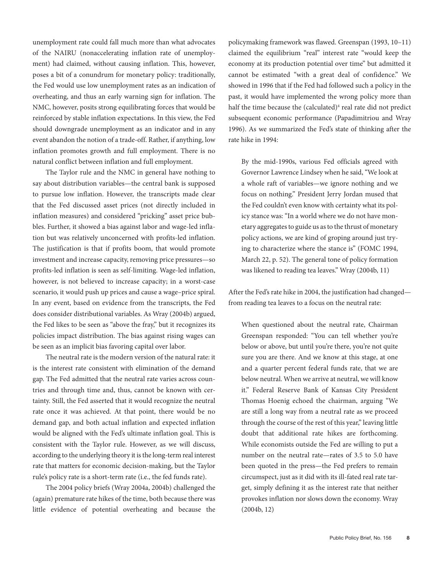unemployment rate could fall much more than what advocates of the NAIRU (nonaccelerating inflation rate of unemployment) had claimed, without causing inflation. This, however, poses a bit of a conundrum for monetary policy: traditionally, the Fed would use low unemployment rates as an indication of overheating, and thus an early warning sign for inflation. The NMC, however, posits strong equilibrating forces that would be reinforced by stable inflation expectations. In this view, the Fed should downgrade unemployment as an indicator and in any event abandon the notion of a trade-off. Rather, if anything, low inflation promotes growth and full employment. There is no natural conflict between inflation and full employment.

The Taylor rule and the NMC in general have nothing to say about distribution variables—the central bank is supposed to pursue low inflation. However, the transcripts made clear that the Fed discussed asset prices (not directly included in inflation measures) and considered "pricking" asset price bubbles. Further, it showed a bias against labor and wage-led inflation but was relatively unconcerned with profits-led inflation. The justification is that if profits boom, that would promote investment and increase capacity, removing price pressures—so profits-led inflation is seen as self-limiting. Wage-led inflation, however, is not believed to increase capacity; in a worst-case scenario, it would push up prices and cause a wage–price spiral. In any event, based on evidence from the transcripts, the Fed does consider distributional variables. As Wray (2004b) argued, the Fed likes to be seen as "above the fray," but it recognizes its policies impact distribution. The bias against rising wages can be seen as an implicit bias favoring capital over labor.

The neutral rate is the modern version of the natural rate: it is the interest rate consistent with elimination of the demand gap. The Fed admitted that the neutral rate varies across countries and through time and, thus, cannot be known with certainty. Still, the Fed asserted that it would recognize the neutral rate once it was achieved. At that point, there would be no demand gap, and both actual inflation and expected inflation would be aligned with the Fed's ultimate inflation goal. This is consistent with the Taylor rule. However, as we will discuss, according to the underlying theory it is the long-term real interest rate that matters for economic decision-making, but the Taylor rule's policy rate is a short-term rate (i.e., the fed funds rate).

The 2004 policy briefs (Wray 2004a, 2004b) challenged the (again) premature rate hikes of the time, both because there was little evidence of potential overheating and because the policymaking framework was flawed. Greenspan (1993, 10–11) claimed the equilibrium "real" interest rate "would keep the economy at its production potential over time" but admitted it cannot be estimated "with a great deal of confidence." We showed in 1996 that if the Fed had followed such a policy in the past, it would have implemented the wrong policy more than half the time because the (calculated)<sup>4</sup> real rate did not predict subsequent economic performance (Papadimitriou and Wray 1996). As we summarized the Fed's state of thinking after the rate hike in 1994:

By the mid-1990s, various Fed officials agreed with Governor Lawrence Lindsey when he said, "We look at a whole raft of variables—we ignore nothing and we focus on nothing." President Jerry Jordan mused that the Fed couldn't even know with certainty what its policy stance was: "In a world where we do not have monetary aggregates to guide us as to the thrust of monetary policy actions, we are kind of groping around just trying to characterize where the stance is" (FOMC 1994, March 22, p. 52). The general tone of policy formation was likened to reading tea leaves." Wray (2004b, 11)

After the Fed's rate hike in 2004, the justification had changed from reading tea leaves to a focus on the neutral rate:

When questioned about the neutral rate, Chairman Greenspan responded: "You can tell whether you're below or above, but until you're there, you're not quite sure you are there. And we know at this stage, at one and a quarter percent federal funds rate, that we are below neutral. When we arrive at neutral, we will know it." Federal Reserve Bank of Kansas City President Thomas Hoenig echoed the chairman, arguing "We are still a long way from a neutral rate as we proceed through the course of the rest of this year," leaving little doubt that additional rate hikes are forthcoming. While economists outside the Fed are willing to put a number on the neutral rate—rates of 3.5 to 5.0 have been quoted in the press—the Fed prefers to remain circumspect, just as it did with its ill-fated real rate target, simply defining it as the interest rate that neither provokes inflation nor slows down the economy. Wray (2004b, 12)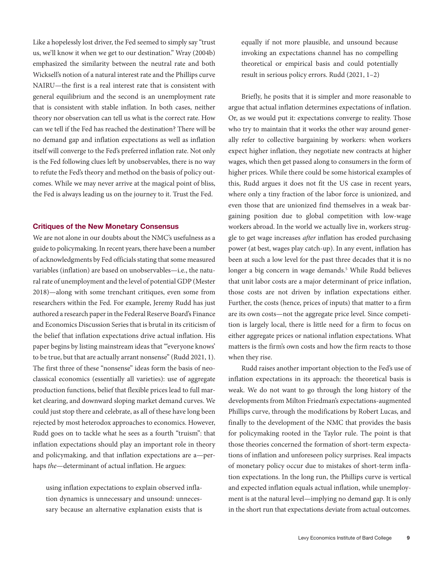Like a hopelessly lost driver, the Fed seemed to simply say "trust us, we'll know it when we get to our destination." Wray (2004b) emphasized the similarity between the neutral rate and both Wicksell's notion of a natural interest rate and the Phillips curve NAIRU—the first is a real interest rate that is consistent with general equilibrium and the second is an unemployment rate that is consistent with stable inflation. In both cases, neither theory nor observation can tell us what is the correct rate. How can we tell if the Fed has reached the destination? There will be no demand gap and inflation expectations as well as inflation itself will converge to the Fed's preferred inflation rate. Not only is the Fed following clues left by unobservables, there is no way to refute the Fed's theory and method on the basis of policy outcomes. While we may never arrive at the magical point of bliss, the Fed is always leading us on the journey to it. Trust the Fed.

#### **Critiques of the New Monetary Consensus**

We are not alone in our doubts about the NMC's usefulness as a guide to policymaking. In recent years, there have been a number of acknowledgments by Fed officials stating that some measured variables (inflation) are based on unobservables—i.e., the natural rate of unemployment and the level of potential GDP (Mester 2018)—along with some trenchant critiques, even some from researchers within the Fed. For example, Jeremy Rudd has just authored a research paper in the Federal Reserve Board's Finance and Economics Discussion Series that is brutal in its criticism of the belief that inflation expectations drive actual inflation. His paper begins by listing mainstream ideas that "'everyone knows' to be true, but that are actually arrant nonsense" (Rudd 2021, 1). The first three of these "nonsense" ideas form the basis of neoclassical economics (essentially all varieties): use of aggregate production functions, belief that flexible prices lead to full market clearing, and downward sloping market demand curves. We could just stop there and celebrate, as all of these have long been rejected by most heterodox approaches to economics. However, Rudd goes on to tackle what he sees as a fourth "truism": that inflation expectations should play an important role in theory and policymaking, and that inflation expectations are a—perhaps *the*—determinant of actual inflation. He argues:

using inflation expectations to explain observed inflation dynamics is unnecessary and unsound: unnecessary because an alternative explanation exists that is equally if not more plausible, and unsound because invoking an expectations channel has no compelling theoretical or empirical basis and could potentially result in serious policy errors. Rudd (2021, 1–2)

Briefly, he posits that it is simpler and more reasonable to argue that actual inflation determines expectations of inflation. Or, as we would put it: expectations converge to reality. Those who try to maintain that it works the other way around generally refer to collective bargaining by workers: when workers expect higher inflation, they negotiate new contracts at higher wages, which then get passed along to consumers in the form of higher prices. While there could be some historical examples of this, Rudd argues it does not fit the US case in recent years, where only a tiny fraction of the labor force is unionized, and even those that are unionized find themselves in a weak bargaining position due to global competition with low-wage workers abroad. In the world we actually live in, workers struggle to get wage increases *after* inflation has eroded purchasing power (at best, wages play catch-up). In any event, inflation has been at such a low level for the past three decades that it is no longer a big concern in wage demands.5 While Rudd believes that unit labor costs are a major determinant of price inflation, those costs are not driven by inflation expectations either. Further, the costs (hence, prices of inputs) that matter to a firm are its own costs—not the aggregate price level. Since competition is largely local, there is little need for a firm to focus on either aggregate prices or national inflation expectations. What matters is the firm's own costs and how the firm reacts to those when they rise.

Rudd raises another important objection to the Fed's use of inflation expectations in its approach: the theoretical basis is weak. We do not want to go through the long history of the developments from Milton Friedman's expectations-augmented Phillips curve, through the modifications by Robert Lucas, and finally to the development of the NMC that provides the basis for policymaking rooted in the Taylor rule. The point is that those theories concerned the formation of short-term expectations of inflation and unforeseen policy surprises. Real impacts of monetary policy occur due to mistakes of short-term inflation expectations. In the long run, the Phillips curve is vertical and expected inflation equals actual inflation, while unemployment is at the natural level—implying no demand gap. It is only in the short run that expectations deviate from actual outcomes.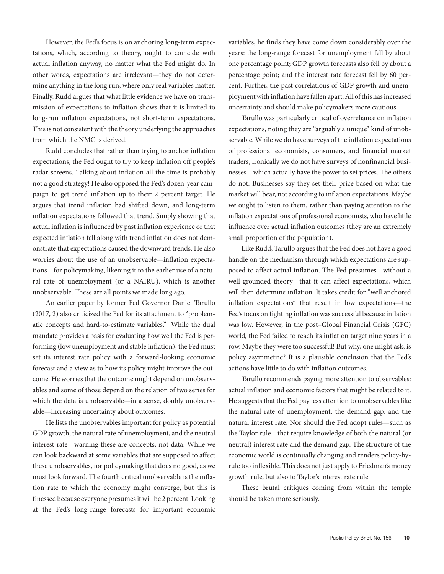However, the Fed's focus is on anchoring long-term expectations, which, according to theory, ought to coincide with actual inflation anyway, no matter what the Fed might do. In other words, expectations are irrelevant—they do not determine anything in the long run, where only real variables matter. Finally, Rudd argues that what little evidence we have on transmission of expectations to inflation shows that it is limited to long-run inflation expectations, not short-term expectations. This is not consistent with the theory underlying the approaches from which the NMC is derived.

Rudd concludes that rather than trying to anchor inflation expectations, the Fed ought to try to keep inflation off people's radar screens. Talking about inflation all the time is probably not a good strategy! He also opposed the Fed's dozen-year campaign to get trend inflation up to their 2 percent target. He argues that trend inflation had shifted down, and long-term inflation expectations followed that trend. Simply showing that actual inflation is influenced by past inflation experience or that expected inflation fell along with trend inflation does not demonstrate that expectations caused the downward trends. He also worries about the use of an unobservable—inflation expectations—for policymaking, likening it to the earlier use of a natural rate of unemployment (or a NAIRU), which is another unobservable. These are all points we made long ago.

An earlier paper by former Fed Governor Daniel Tarullo (2017, 2) also criticized the Fed for its attachment to "problematic concepts and hard-to-estimate variables." While the dual mandate provides a basis for evaluating how well the Fed is performing (low unemployment and stable inflation), the Fed must set its interest rate policy with a forward-looking economic forecast and a view as to how its policy might improve the outcome. He worries that the outcome might depend on unobservables and some of those depend on the relation of two series for which the data is unobservable—in a sense, doubly unobservable—increasing uncertainty about outcomes.

He lists the unobservables important for policy as potential GDP growth, the natural rate of unemployment, and the neutral interest rate—warning these are concepts, not data. While we can look backward at some variables that are supposed to affect these unobservables, for policymaking that does no good, as we must look forward. The fourth critical unobservable is the inflation rate to which the economy might converge, but this is finessed because everyone presumes it will be 2 percent. Looking at the Fed's long-range forecasts for important economic

variables, he finds they have come down considerably over the years: the long-range forecast for unemployment fell by about one percentage point; GDP growth forecasts also fell by about a percentage point; and the interest rate forecast fell by 60 percent. Further, the past correlations of GDP growth and unemployment with inflation have fallen apart. All of this has increased uncertainty and should make policymakers more cautious.

Tarullo was particularly critical of overreliance on inflation expectations, noting they are "arguably a unique" kind of unobservable. While we do have surveys of the inflation expectations of professional economists, consumers, and financial market traders, ironically we do not have surveys of nonfinancial businesses—which actually have the power to set prices. The others do not. Businesses say they set their price based on what the market will bear, not according to inflation expectations. Maybe we ought to listen to them, rather than paying attention to the inflation expectations of professional economists, who have little influence over actual inflation outcomes (they are an extremely small proportion of the population).

Like Rudd, Tarullo argues that the Fed does not have a good handle on the mechanism through which expectations are supposed to affect actual inflation. The Fed presumes—without a well-grounded theory—that it can affect expectations, which will then determine inflation. It takes credit for "well anchored inflation expectations" that result in low expectations—the Fed's focus on fighting inflation was successful because inflation was low. However, in the post–Global Financial Crisis (GFC) world, the Fed failed to reach its inflation target nine years in a row. Maybe they were too successful! But why, one might ask, is policy asymmetric? It is a plausible conclusion that the Fed's actions have little to do with inflation outcomes.

Tarullo recommends paying more attention to observables: actual inflation and economic factors that might be related to it. He suggests that the Fed pay less attention to unobservables like the natural rate of unemployment, the demand gap, and the natural interest rate. Nor should the Fed adopt rules—such as the Taylor rule—that require knowledge of both the natural (or neutral) interest rate and the demand gap. The structure of the economic world is continually changing and renders policy-byrule too inflexible. This does not just apply to Friedman's money growth rule, but also to Taylor's interest rate rule.

These brutal critiques coming from within the temple should be taken more seriously.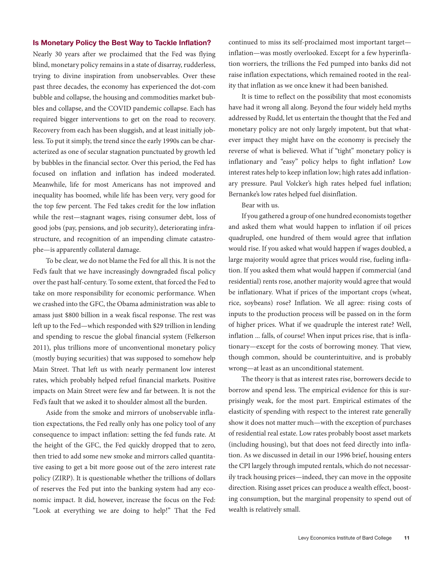#### **Is Monetary Policy the Best Way to Tackle Inflation?**

Nearly 30 years after we proclaimed that the Fed was flying blind, monetary policy remains in a state of disarray, rudderless, trying to divine inspiration from unobservables. Over these past three decades, the economy has experienced the dot-com bubble and collapse, the housing and commodities market bubbles and collapse, and the COVID pandemic collapse. Each has required bigger interventions to get on the road to recovery. Recovery from each has been sluggish, and at least initially jobless. To put it simply, the trend since the early 1990s can be characterized as one of secular stagnation punctuated by growth led by bubbles in the financial sector. Over this period, the Fed has focused on inflation and inflation has indeed moderated. Meanwhile, life for most Americans has not improved and inequality has boomed, while life has been very, very good for the top few percent. The Fed takes credit for the low inflation while the rest—stagnant wages, rising consumer debt, loss of good jobs (pay, pensions, and job security), deteriorating infrastructure, and recognition of an impending climate catastrophe—is apparently collateral damage.

To be clear, we do not blame the Fed for all this. It is not the Fed's fault that we have increasingly downgraded fiscal policy over the past half-century. To some extent, that forced the Fed to take on more responsibility for economic performance. When we crashed into the GFC, the Obama administration was able to amass just \$800 billion in a weak fiscal response. The rest was left up to the Fed—which responded with \$29 trillion in lending and spending to rescue the global financial system (Felkerson 2011), plus trillions more of unconventional monetary policy (mostly buying securities) that was supposed to somehow help Main Street. That left us with nearly permanent low interest rates, which probably helped refuel financial markets. Positive impacts on Main Street were few and far between. It is not the Fed's fault that we asked it to shoulder almost all the burden.

Aside from the smoke and mirrors of unobservable inflation expectations, the Fed really only has one policy tool of any consequence to impact inflation: setting the fed funds rate. At the height of the GFC, the Fed quickly dropped that to zero, then tried to add some new smoke and mirrors called quantitative easing to get a bit more goose out of the zero interest rate policy (ZIRP). It is questionable whether the trillions of dollars of reserves the Fed put into the banking system had any economic impact. It did, however, increase the focus on the Fed: "Look at everything we are doing to help!" That the Fed

continued to miss its self-proclaimed most important target inflation—was mostly overlooked. Except for a few hyperinflation worriers, the trillions the Fed pumped into banks did not raise inflation expectations, which remained rooted in the reality that inflation as we once knew it had been banished.

It is time to reflect on the possibility that most economists have had it wrong all along. Beyond the four widely held myths addressed by Rudd, let us entertain the thought that the Fed and monetary policy are not only largely impotent, but that whatever impact they might have on the economy is precisely the reverse of what is believed. What if "tight" monetary policy is inflationary and "easy" policy helps to fight inflation? Low interest rates help to keep inflation low; high rates add inflationary pressure. Paul Volcker's high rates helped fuel inflation; Bernanke's low rates helped fuel disinflation.

#### Bear with us.

If you gathered a group of one hundred economists together and asked them what would happen to inflation if oil prices quadrupled, one hundred of them would agree that inflation would rise. If you asked what would happen if wages doubled, a large majority would agree that prices would rise, fueling inflation. If you asked them what would happen if commercial (and residential) rents rose, another majority would agree that would be inflationary. What if prices of the important crops (wheat, rice, soybeans) rose? Inflation. We all agree: rising costs of inputs to the production process will be passed on in the form of higher prices. What if we quadruple the interest rate? Well, inflation ... falls, of course! When input prices rise, that is inflationary—except for the costs of borrowing money. That view, though common, should be counterintuitive, and is probably wrong—at least as an unconditional statement.

The theory is that as interest rates rise, borrowers decide to borrow and spend less. The empirical evidence for this is surprisingly weak, for the most part. Empirical estimates of the elasticity of spending with respect to the interest rate generally show it does not matter much—with the exception of purchases of residential real estate. Low rates probably boost asset markets (including housing), but that does not feed directly into inflation. As we discussed in detail in our 1996 brief, housing enters the CPI largely through imputed rentals, which do not necessarily track housing prices—indeed, they can move in the opposite direction. Rising asset prices can produce a wealth effect, boosting consumption, but the marginal propensity to spend out of wealth is relatively small.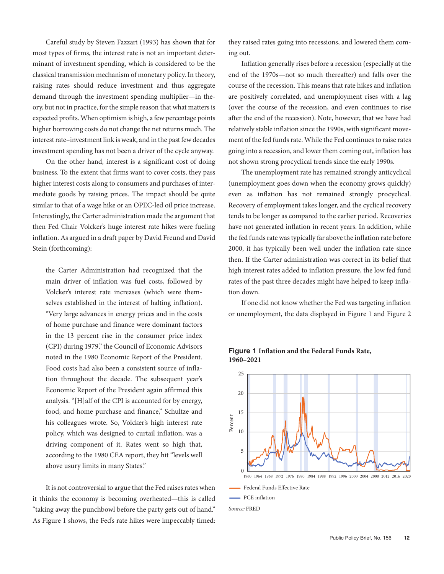Careful study by Steven Fazzari (1993) has shown that for most types of firms, the interest rate is not an important determinant of investment spending, which is considered to be the classical transmission mechanism of monetary policy. In theory, raising rates should reduce investment and thus aggregate demand through the investment spending multiplier—in theory, but not in practice, for the simple reason that what matters is expected profits. When optimism is high, a few percentage points higher borrowing costs do not change the net returns much. The interest rate–investment link is weak, and in the past few decades investment spending has not been a driver of the cycle anyway.

On the other hand, interest is a significant cost of doing business. To the extent that firms want to cover costs, they pass 16 higher interest costs along to consumers and purchases of intermediate goods by raising prices. The impact should be quite similar to that of a wage hike or an OPEC-led oil price increase. Interestingly, the Carter administration made the argument that 8 then Fed Chair Volcker's huge interest rate hikes were fueling inflation. As argued in a draft paper by David Freund and David 4 Stein (forthcoming):

the Carter Administration had recognized that the main driver of inflation was fuel costs, followed by Volcker's interest rate increases (which were themselves established in the interest of halting inflation). "Very large advances in energy prices and in the costs of home purchase and finance were dominant factors in the 13 percent rise in the consumer price index (CPI) during 1979," the Council of Economic Advisors noted in the 1980 Economic Report of the President. Food costs had also been a consistent source of inflation throughout the decade. The subsequent year's Economic Report of the President again affirmed this analysis. "[H]alf of the CPI is accounted for by energy, food, and home purchase and finance," Schultze and his colleagues wrote. So, Volcker's high interest rate policy, which was designed to curtail inflation, was a driving component of it. Rates went so high that, according to the 1980 CEA report, they hit "levels well above usury limits in many States."

It is not controversial to argue that the Fed raises rates when it thinks the economy is becoming overheated—this is called "taking away the punchbowl before the party gets out of hand." As Figure 1 shows, the Fed's rate hikes were impeccably timed: they raised rates going into recessions, and lowered them coming out.

Inflation generally rises before a recession (especially at the end of the 1970s—not so much thereafter) and falls over the course of the recession. This means that rate hikes and inflation are positively correlated, and unemployment rises with a lag (over the course of the recession, and even continues to rise after the end of the recession). Note, however, that we have had relatively stable inflation since the 1990s, with significant movement of the fed funds rate. While the Fed continues to raise rates going into a recession, and lower them coming out, inflation has not shown strong procyclical trends since the early 1990s. **FIGURE 20 AUNTS RATE, AND THE FEDERAL FUNDS RATE 1960–2021**

The unemployment rate has remained strongly anticyclical (unemployment goes down when the economy grows quickly) 20 even as inflation has not remained strongly procyclical. Recovery of employment takes longer, and the cyclical recovery 15 tends to be longer as compared to the earlier period. Recoveries have not generated inflation in recent years. In addition, while the fed funds rate was typically far above the inflation rate before 2000, it has typically been well under the inflation rate since then. If the Carter administration was correct in its belief that high interest rates added to inflation pressure, the low fed fund rates of the past three decades might have helped to keep inflation down.

If one did not know whether the Fed was targeting inflation or unemployment, the data displayed in Figure 1 and Figure 2



#### **Figure 1 Inflation and the Federal Funds Rate, 1960–2021**

*Source:* FRED

 $-$  PCE inflation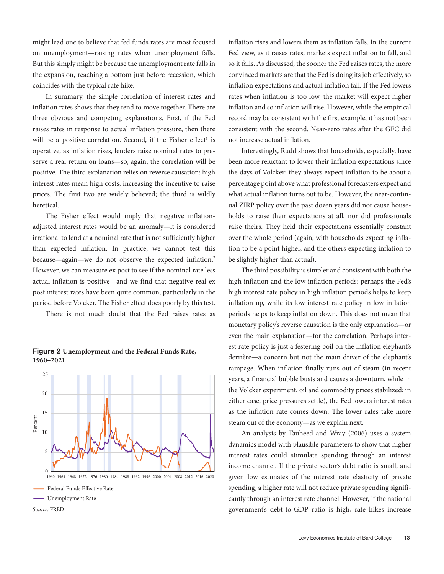might lead one to believe that fed funds rates are most focused on unemployment—raising rates when unemployment falls. But this simply might be because the unemployment rate falls in the expansion, reaching a bottom just before recession, which coincides with the typical rate hike.

In summary, the simple correlation of interest rates and inflation rates shows that they tend to move together. There are three obvious and competing explanations. First, if the Fed raises rates in response to actual inflation pressure, then there will be a positive correlation. Second, if the Fisher effect<sup>6</sup> is operative, as inflation rises, lenders raise nominal rates to preserve a real return on loans—so, again, the correlation will be positive. The third explanation relies on reverse causation: high interest rates mean high costs, increasing the incentive to raise prices. The first two are widely believed; the third is wildly heretical.

The Fisher effect would imply that negative inflationadjusted interest rates would be an anomaly—it is considered irrational to lend at a nominal rate that is not sufficiently higher than expected inflation. In practice, we cannot test this because—again—we do not observe the expected inflation.7 However, we can measure ex post to see if the nominal rate less actual inflation is positive—and we find that negative real ex post interest rates have been quite common, particularly in the period before Volcker. The Fisher effect does poorly by this test.

There is not much doubt that the Fed raises rates as



#### **Figure 2 Unemployment and the Federal Funds Rate, 1960–2021**

inflation rises and lowers them as inflation falls. In the current Fed view, as it raises rates, markets expect inflation to fall, and so it falls. As discussed, the sooner the Fed raises rates, the more convinced markets are that the Fed is doing its job effectively, so inflation expectations and actual inflation fall. If the Fed lowers rates when inflation is too low, the market will expect higher inflation and so inflation will rise. However, while the empirical record may be consistent with the first example, it has not been consistent with the second. Near-zero rates after the GFC did not increase actual inflation.

Interestingly, Rudd shows that households, especially, have been more reluctant to lower their inflation expectations since the days of Volcker: they always expect inflation to be about a percentage point above what professional forecasters expect and what actual inflation turns out to be. However, the near-continual ZIRP policy over the past dozen years did not cause households to raise their expectations at all, nor did professionals raise theirs. They held their expectations essentially constant over the whole period (again, with households expecting inflation to be a point higher, and the others expecting inflation to be slightly higher than actual).

The third possibility is simpler and consistent with both the high inflation and the low inflation periods: perhaps the Fed's high interest rate policy in high inflation periods helps to keep inflation up, while its low interest rate policy in low inflation periods helps to keep inflation down. This does not mean that monetary policy's reverse causation is the only explanation—or even the main explanation—for the correlation. Perhaps interest rate policy is just a festering boil on the inflation elephant's derrière—a concern but not the main driver of the elephant's rampage. When inflation finally runs out of steam (in recent years, a financial bubble busts and causes a downturn, while in the Volcker experiment, oil and commodity prices stabilized; in either case, price pressures settle), the Fed lowers interest rates as the inflation rate comes down. The lower rates take more steam out of the economy—as we explain next.

An analysis by Tauheed and Wray (2006) uses a system dynamics model with plausible parameters to show that higher 10 interest rates could stimulate spending through an interest income channel. If the private sector's debt ratio is small, and given low estimates of the interest rate elasticity of private spending, a higher rate will not reduce private spending significantly through an interest rate channel. However, if the national government's debt-to-GDP ratio is high, rate hikes increase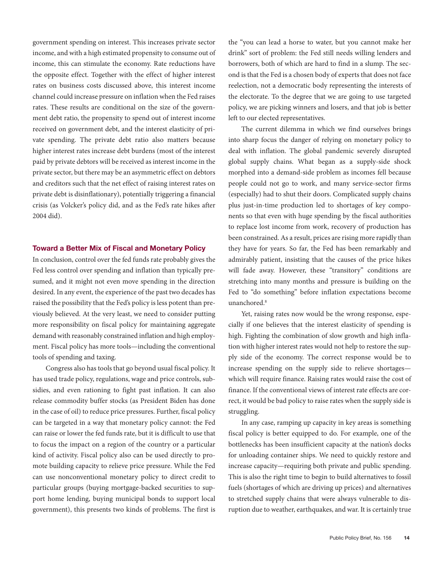government spending on interest. This increases private sector income, and with a high estimated propensity to consume out of income, this can stimulate the economy. Rate reductions have the opposite effect. Together with the effect of higher interest rates on business costs discussed above, this interest income channel could increase pressure on inflation when the Fed raises rates. These results are conditional on the size of the government debt ratio, the propensity to spend out of interest income received on government debt, and the interest elasticity of private spending. The private debt ratio also matters because higher interest rates increase debt burdens (most of the interest paid by private debtors will be received as interest income in the private sector, but there may be an asymmetric effect on debtors and creditors such that the net effect of raising interest rates on private debt is disinflationary), potentially triggering a financial crisis (as Volcker's policy did, and as the Fed's rate hikes after 2004 did).

#### **Toward a Better Mix of Fiscal and Monetary Policy**

In conclusion, control over the fed funds rate probably gives the Fed less control over spending and inflation than typically presumed, and it might not even move spending in the direction desired. In any event, the experience of the past two decades has raised the possibility that the Fed's policy is less potent than previously believed. At the very least, we need to consider putting more responsibility on fiscal policy for maintaining aggregate demand with reasonably constrained inflation and high employment. Fiscal policy has more tools—including the conventional tools of spending and taxing.

Congress also has tools that go beyond usual fiscal policy. It has used trade policy, regulations, wage and price controls, subsidies, and even rationing to fight past inflation. It can also release commodity buffer stocks (as President Biden has done in the case of oil) to reduce price pressures. Further, fiscal policy can be targeted in a way that monetary policy cannot: the Fed can raise or lower the fed funds rate, but it is difficult to use that to focus the impact on a region of the country or a particular kind of activity. Fiscal policy also can be used directly to promote building capacity to relieve price pressure. While the Fed can use nonconventional monetary policy to direct credit to particular groups (buying mortgage-backed securities to support home lending, buying municipal bonds to support local government), this presents two kinds of problems. The first is

the "you can lead a horse to water, but you cannot make her drink" sort of problem: the Fed still needs willing lenders and borrowers, both of which are hard to find in a slump. The second is that the Fed is a chosen body of experts that does not face reelection, not a democratic body representing the interests of the electorate. To the degree that we are going to use targeted policy, we are picking winners and losers, and that job is better left to our elected representatives.

The current dilemma in which we find ourselves brings into sharp focus the danger of relying on monetary policy to deal with inflation. The global pandemic severely disrupted global supply chains. What began as a supply-side shock morphed into a demand-side problem as incomes fell because people could not go to work, and many service-sector firms (especially) had to shut their doors. Complicated supply chains plus just-in-time production led to shortages of key components so that even with huge spending by the fiscal authorities to replace lost income from work, recovery of production has been constrained. As a result, prices are rising more rapidly than they have for years. So far, the Fed has been remarkably and admirably patient, insisting that the causes of the price hikes will fade away. However, these "transitory" conditions are stretching into many months and pressure is building on the Fed to "do something" before inflation expectations become unanchored.<sup>8</sup>

Yet, raising rates now would be the wrong response, especially if one believes that the interest elasticity of spending is high. Fighting the combination of slow growth and high inflation with higher interest rates would not help to restore the supply side of the economy. The correct response would be to increase spending on the supply side to relieve shortages which will require finance. Raising rates would raise the cost of finance. If the conventional views of interest rate effects are correct, it would be bad policy to raise rates when the supply side is struggling.

In any case, ramping up capacity in key areas is something fiscal policy is better equipped to do. For example, one of the bottlenecks has been insufficient capacity at the nation's docks for unloading container ships. We need to quickly restore and increase capacity—requiring both private and public spending. This is also the right time to begin to build alternatives to fossil fuels (shortages of which are driving up prices) and alternatives to stretched supply chains that were always vulnerable to disruption due to weather, earthquakes, and war. It is certainly true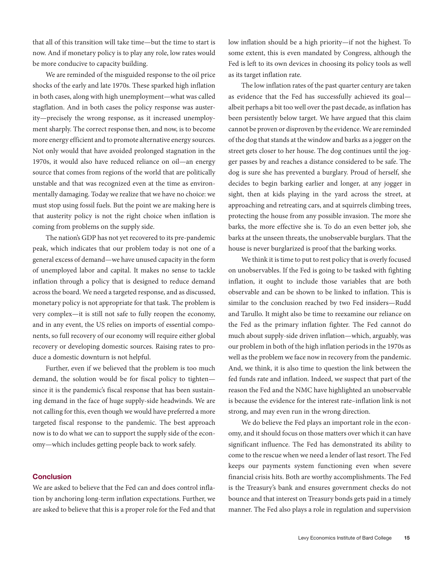that all of this transition will take time—but the time to start is now. And if monetary policy is to play any role, low rates would be more conducive to capacity building.

We are reminded of the misguided response to the oil price shocks of the early and late 1970s. These sparked high inflation in both cases, along with high unemployment—what was called stagflation. And in both cases the policy response was austerity—precisely the wrong response, as it increased unemployment sharply. The correct response then, and now, is to become more energy efficient and to promote alternative energy sources. Not only would that have avoided prolonged stagnation in the 1970s, it would also have reduced reliance on oil—an energy source that comes from regions of the world that are politically unstable and that was recognized even at the time as environmentally damaging. Today we realize that we have no choice: we must stop using fossil fuels. But the point we are making here is that austerity policy is not the right choice when inflation is coming from problems on the supply side.

The nation's GDP has not yet recovered to its pre-pandemic peak, which indicates that our problem today is not one of a general excess of demand—we have unused capacity in the form of unemployed labor and capital. It makes no sense to tackle inflation through a policy that is designed to reduce demand across the board. We need a targeted response, and as discussed, monetary policy is not appropriate for that task. The problem is very complex—it is still not safe to fully reopen the economy, and in any event, the US relies on imports of essential components, so full recovery of our economy will require either global recovery or developing domestic sources. Raising rates to produce a domestic downturn is not helpful.

Further, even if we believed that the problem is too much demand, the solution would be for fiscal policy to tighten since it is the pandemic's fiscal response that has been sustaining demand in the face of huge supply-side headwinds. We are not calling for this, even though we would have preferred a more targeted fiscal response to the pandemic. The best approach now is to do what we can to support the supply side of the economy—which includes getting people back to work safely.

#### **Conclusion**

We are asked to believe that the Fed can and does control inflation by anchoring long-term inflation expectations. Further, we are asked to believe that this is a proper role for the Fed and that low inflation should be a high priority—if not the highest. To some extent, this is even mandated by Congress, although the Fed is left to its own devices in choosing its policy tools as well as its target inflation rate.

The low inflation rates of the past quarter century are taken as evidence that the Fed has successfully achieved its goal albeit perhaps a bit too well over the past decade, as inflation has been persistently below target. We have argued that this claim cannot be proven or disproven by the evidence. We are reminded of the dog that stands at the window and barks as a jogger on the street gets closer to her house. The dog continues until the jogger passes by and reaches a distance considered to be safe. The dog is sure she has prevented a burglary. Proud of herself, she decides to begin barking earlier and longer, at any jogger in sight, then at kids playing in the yard across the street, at approaching and retreating cars, and at squirrels climbing trees, protecting the house from any possible invasion. The more she barks, the more effective she is. To do an even better job, she barks at the unseen threats, the unobservable burglars. That the house is never burglarized is proof that the barking works.

We think it is time to put to rest policy that is overly focused on unobservables. If the Fed is going to be tasked with fighting inflation, it ought to include those variables that are both observable and can be shown to be linked to inflation. This is similar to the conclusion reached by two Fed insiders—Rudd and Tarullo. It might also be time to reexamine our reliance on the Fed as the primary inflation fighter. The Fed cannot do much about supply-side driven inflation—which, arguably, was our problem in both of the high inflation periods in the 1970s as well as the problem we face now in recovery from the pandemic. And, we think, it is also time to question the link between the fed funds rate and inflation. Indeed, we suspect that part of the reason the Fed and the NMC have highlighted an unobservable is because the evidence for the interest rate–inflation link is not strong, and may even run in the wrong direction.

We do believe the Fed plays an important role in the economy, and it should focus on those matters over which it can have significant influence. The Fed has demonstrated its ability to come to the rescue when we need a lender of last resort. The Fed keeps our payments system functioning even when severe financial crisis hits. Both are worthy accomplishments. The Fed is the Treasury's bank and ensures government checks do not bounce and that interest on Treasury bonds gets paid in a timely manner. The Fed also plays a role in regulation and supervision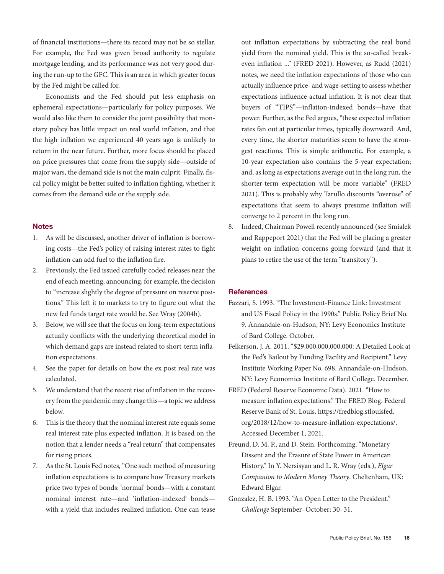of financial institutions—there its record may not be so stellar. For example, the Fed was given broad authority to regulate mortgage lending, and its performance was not very good during the run-up to the GFC. This is an area in which greater focus by the Fed might be called for.

Economists and the Fed should put less emphasis on ephemeral expectations—particularly for policy purposes. We would also like them to consider the joint possibility that monetary policy has little impact on real world inflation, and that the high inflation we experienced 40 years ago is unlikely to return in the near future. Further, more focus should be placed on price pressures that come from the supply side—outside of major wars, the demand side is not the main culprit. Finally, fiscal policy might be better suited to inflation fighting, whether it comes from the demand side or the supply side.

#### **Notes**

- 1. As will be discussed, another driver of inflation is borrowing costs—the Fed's policy of raising interest rates to fight inflation can add fuel to the inflation fire.
- 2. Previously, the Fed issued carefully coded releases near the end of each meeting, announcing, for example, the decision to "increase slightly the degree of pressure on reserve positions." This left it to markets to try to figure out what the new fed funds target rate would be. See Wray (2004b).
- 3. Below, we will see that the focus on long-term expectations actually conflicts with the underlying theoretical model in which demand gaps are instead related to short-term inflation expectations.
- 4. See the paper for details on how the ex post real rate was calculated.
- 5. We understand that the recent rise of inflation in the recovery from the pandemic may change this—a topic we address below.
- 6. This is the theory that the nominal interest rate equals some real interest rate plus expected inflation. It is based on the notion that a lender needs a "real return" that compensates for rising prices.
- 7. As the St. Louis Fed notes, "One such method of measuring inflation expectations is to compare how Treasury markets price two types of bonds: 'normal' bonds—with a constant nominal interest rate—and 'inflation-indexed' bonds with a yield that includes realized inflation. One can tease

out inflation expectations by subtracting the real bond yield from the nominal yield. This is the so-called breakeven inflation ..." (FRED 2021). However, as Rudd (2021) notes, we need the inflation expectations of those who can actually influence price- and wage-setting to assess whether expectations influence actual inflation. It is not clear that buyers of "TIPS"—inflation-indexed bonds—have that power. Further, as the Fed argues, "these expected inflation rates fan out at particular times, typically downward. And, every time, the shorter maturities seem to have the strongest reactions. This is simple arithmetic. For example, a 10-year expectation also contains the 5-year expectation; and, as long as expectations average out in the long run, the shorter-term expectation will be more variable" (FRED 2021). This is probably why Tarullo discounts "overuse" of expectations that seem to always presume inflation will converge to 2 percent in the long run.

8. Indeed, Chairman Powell recently announced (see Smialek and Rappeport 2021) that the Fed will be placing a greater weight on inflation concerns going forward (and that it plans to retire the use of the term "transitory").

#### **References**

- Fazzari, S. 1993. "The Investment-Finance Link: Investment and US Fiscal Policy in the 1990s." Public Policy Brief No. 9. Annandale-on-Hudson, NY: Levy Economics Institute of Bard College. October.
- Felkerson, J. A. 2011. "\$29,000,000,000,000: A Detailed Look at the Fed's Bailout by Funding Facility and Recipient." Levy Institute Working Paper No. 698. Annandale-on-Hudson, NY: Levy Economics Institute of Bard College. December.
- FRED (Federal Reserve Economic Data). 2021. "How to measure inflation expectations." The FRED Blog. Federal Reserve Bank of St. Louis. https://fredblog.stlouisfed. org/2018/12/how-to-measure-inflation-expectations/. Accessed December 1, 2021.
- Freund, D. M. P., and D. Stein. Forthcoming. "Monetary Dissent and the Erasure of State Power in American History." In Y. Nersisyan and L. R. Wray (eds.), *Elgar Companion to Modern Money Theory*. Cheltenham, UK: Edward Elgar.
- Gonzalez, H. B. 1993. "An Open Letter to the President." *Challenge* September–October: 30–31.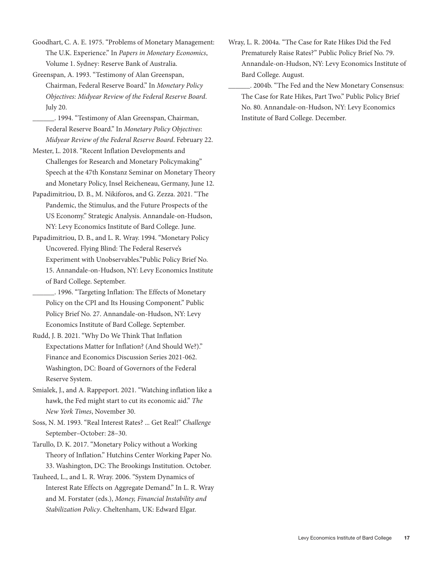Goodhart, C. A. E. 1975. "Problems of Monetary Management: The U.K. Experience." In *Papers in Monetary Economics*, Volume 1. Sydney: Reserve Bank of Australia.

- Greenspan, A. 1993. "Testimony of Alan Greenspan, Chairman, Federal Reserve Board." In *Monetary Policy Objectives: Midyear Review of the Federal Reserve Board*. July 20.
	- \_\_\_\_\_\_. 1994. "Testimony of Alan Greenspan, Chairman, Federal Reserve Board." In *Monetary Policy Objectives*: *Midyear Review of the Federal Reserve Board*. February 22.
- Mester, L. 2018. "Recent Inflation Developments and Challenges for Research and Monetary Policymaking" Speech at the 47th Konstanz Seminar on Monetary Theory and Monetary Policy, Insel Reicheneau, Germany, June 12.
- Papadimitriou, D. B., M. Nikiforos, and G. Zezza. 2021. "The Pandemic, the Stimulus, and the Future Prospects of the US Economy." Strategic Analysis. Annandale-on-Hudson, NY: Levy Economics Institute of Bard College. June.
- Papadimitriou, D. B., and L. R. Wray. 1994. "Monetary Policy Uncovered. Flying Blind: The Federal Reserve's Experiment with Unobservables."Public Policy Brief No. 15. Annandale-on-Hudson, NY: Levy Economics Institute of Bard College. September.
- \_\_\_\_\_\_. 1996. "Targeting Inflation: The Effects of Monetary Policy on the CPI and Its Housing Component." Public Policy Brief No. 27. Annandale-on-Hudson, NY: Levy Economics Institute of Bard College. September.
- Rudd, J. B. 2021. "Why Do We Think That Inflation Expectations Matter for Inflation? (And Should We?)." Finance and Economics Discussion Series 2021-062. Washington, DC: Board of Governors of the Federal Reserve System.
- Smialek, J., and A. Rappeport. 2021. "Watching inflation like a hawk, the Fed might start to cut its economic aid." *The New York Times*, November 30.
- Soss, N. M. 1993. "Real Interest Rates? ... Get Real!" *Challenge* September–October: 28–30.
- Tarullo, D. K. 2017. "Monetary Policy without a Working Theory of Inflation." Hutchins Center Working Paper No. 33. Washington, DC: The Brookings Institution. October.
- Tauheed, L., and L. R. Wray. 2006. "System Dynamics of Interest Rate Effects on Aggregate Demand." In L. R. Wray and M. Forstater (eds.), *Money, Financial Instability and Stabilization Policy*. Cheltenham, UK: Edward Elgar.
- Wray, L. R. 2004a. "The Case for Rate Hikes Did the Fed Prematurely Raise Rates?" Public Policy Brief No. 79. Annandale-on-Hudson, NY: Levy Economics Institute of Bard College. August.
	- \_\_\_\_\_\_. 2004b. "The Fed and the New Monetary Consensus: The Case for Rate Hikes, Part Two." Public Policy Brief No. 80. Annandale-on-Hudson, NY: Levy Economics Institute of Bard College. December.